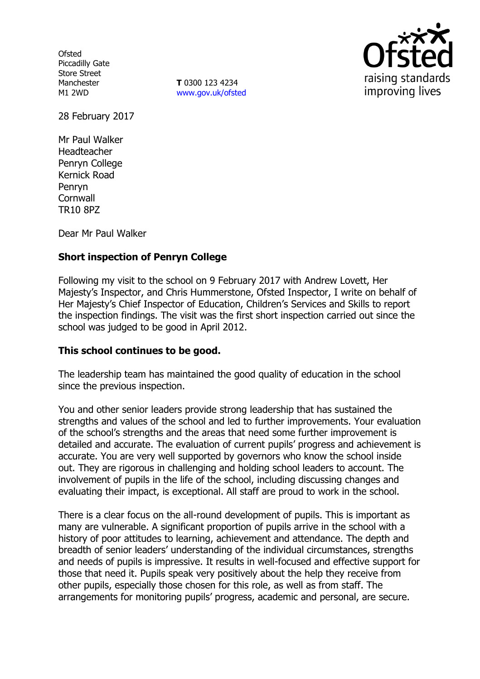**Ofsted** Piccadilly Gate Store Street Manchester M1 2WD

**T** 0300 123 4234 www.gov.uk/ofsted



28 February 2017

Mr Paul Walker Headteacher Penryn College Kernick Road Penryn **Cornwall** TR10 8PZ

Dear Mr Paul Walker

# **Short inspection of Penryn College**

Following my visit to the school on 9 February 2017 with Andrew Lovett, Her Majesty's Inspector, and Chris Hummerstone, Ofsted Inspector, I write on behalf of Her Majesty's Chief Inspector of Education, Children's Services and Skills to report the inspection findings. The visit was the first short inspection carried out since the school was judged to be good in April 2012.

### **This school continues to be good.**

The leadership team has maintained the good quality of education in the school since the previous inspection.

You and other senior leaders provide strong leadership that has sustained the strengths and values of the school and led to further improvements. Your evaluation of the school's strengths and the areas that need some further improvement is detailed and accurate. The evaluation of current pupils' progress and achievement is accurate. You are very well supported by governors who know the school inside out. They are rigorous in challenging and holding school leaders to account. The involvement of pupils in the life of the school, including discussing changes and evaluating their impact, is exceptional. All staff are proud to work in the school.

There is a clear focus on the all-round development of pupils. This is important as many are vulnerable. A significant proportion of pupils arrive in the school with a history of poor attitudes to learning, achievement and attendance. The depth and breadth of senior leaders' understanding of the individual circumstances, strengths and needs of pupils is impressive. It results in well-focused and effective support for those that need it. Pupils speak very positively about the help they receive from other pupils, especially those chosen for this role, as well as from staff. The arrangements for monitoring pupils' progress, academic and personal, are secure.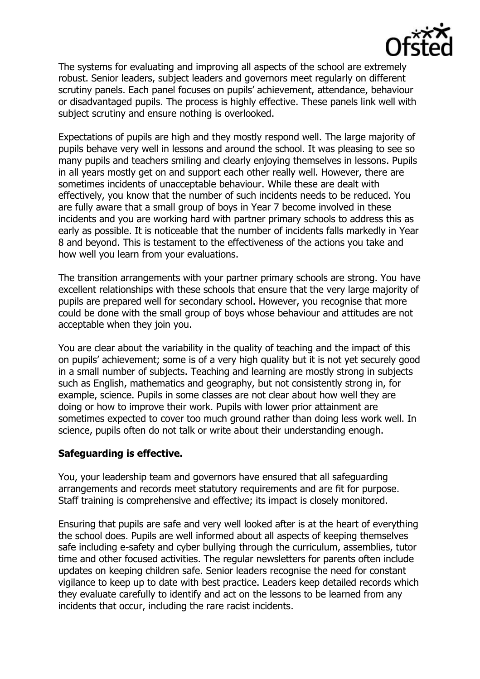

The systems for evaluating and improving all aspects of the school are extremely robust. Senior leaders, subject leaders and governors meet regularly on different scrutiny panels. Each panel focuses on pupils' achievement, attendance, behaviour or disadvantaged pupils. The process is highly effective. These panels link well with subject scrutiny and ensure nothing is overlooked.

Expectations of pupils are high and they mostly respond well. The large majority of pupils behave very well in lessons and around the school. It was pleasing to see so many pupils and teachers smiling and clearly enjoying themselves in lessons. Pupils in all years mostly get on and support each other really well. However, there are sometimes incidents of unacceptable behaviour. While these are dealt with effectively, you know that the number of such incidents needs to be reduced. You are fully aware that a small group of boys in Year 7 become involved in these incidents and you are working hard with partner primary schools to address this as early as possible. It is noticeable that the number of incidents falls markedly in Year 8 and beyond. This is testament to the effectiveness of the actions you take and how well you learn from your evaluations.

The transition arrangements with your partner primary schools are strong. You have excellent relationships with these schools that ensure that the very large majority of pupils are prepared well for secondary school. However, you recognise that more could be done with the small group of boys whose behaviour and attitudes are not acceptable when they join you.

You are clear about the variability in the quality of teaching and the impact of this on pupils' achievement; some is of a very high quality but it is not yet securely good in a small number of subjects. Teaching and learning are mostly strong in subjects such as English, mathematics and geography, but not consistently strong in, for example, science. Pupils in some classes are not clear about how well they are doing or how to improve their work. Pupils with lower prior attainment are sometimes expected to cover too much ground rather than doing less work well. In science, pupils often do not talk or write about their understanding enough.

### **Safeguarding is effective.**

You, your leadership team and governors have ensured that all safeguarding arrangements and records meet statutory requirements and are fit for purpose. Staff training is comprehensive and effective; its impact is closely monitored.

Ensuring that pupils are safe and very well looked after is at the heart of everything the school does. Pupils are well informed about all aspects of keeping themselves safe including e-safety and cyber bullying through the curriculum, assemblies, tutor time and other focused activities. The regular newsletters for parents often include updates on keeping children safe. Senior leaders recognise the need for constant vigilance to keep up to date with best practice. Leaders keep detailed records which they evaluate carefully to identify and act on the lessons to be learned from any incidents that occur, including the rare racist incidents.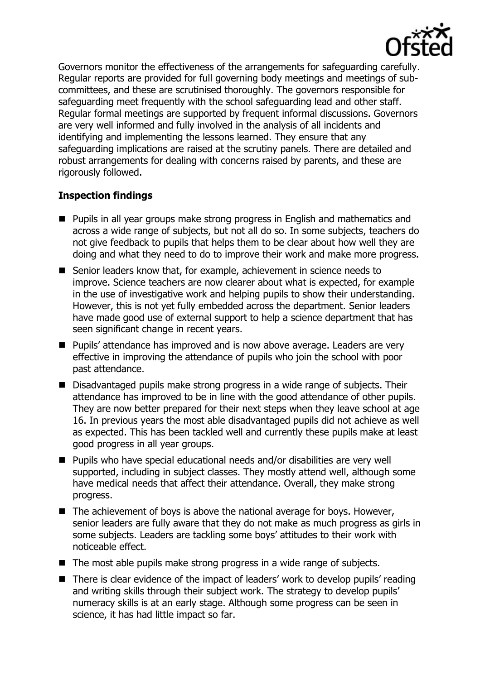

Governors monitor the effectiveness of the arrangements for safeguarding carefully. Regular reports are provided for full governing body meetings and meetings of subcommittees, and these are scrutinised thoroughly. The governors responsible for safeguarding meet frequently with the school safeguarding lead and other staff. Regular formal meetings are supported by frequent informal discussions. Governors are very well informed and fully involved in the analysis of all incidents and identifying and implementing the lessons learned. They ensure that any safeguarding implications are raised at the scrutiny panels. There are detailed and robust arrangements for dealing with concerns raised by parents, and these are rigorously followed.

## **Inspection findings**

- **Pupils in all year groups make strong progress in English and mathematics and numism** across a wide range of subjects, but not all do so. In some subjects, teachers do not give feedback to pupils that helps them to be clear about how well they are doing and what they need to do to improve their work and make more progress.
- Senior leaders know that, for example, achievement in science needs to improve. Science teachers are now clearer about what is expected, for example in the use of investigative work and helping pupils to show their understanding. However, this is not yet fully embedded across the department. Senior leaders have made good use of external support to help a science department that has seen significant change in recent years.
- **Pupils' attendance has improved and is now above average. Leaders are very let up** effective in improving the attendance of pupils who join the school with poor past attendance.
- Disadvantaged pupils make strong progress in a wide range of subjects. Their attendance has improved to be in line with the good attendance of other pupils. They are now better prepared for their next steps when they leave school at age 16. In previous years the most able disadvantaged pupils did not achieve as well as expected. This has been tackled well and currently these pupils make at least good progress in all year groups.
- Pupils who have special educational needs and/or disabilities are very well supported, including in subject classes. They mostly attend well, although some have medical needs that affect their attendance. Overall, they make strong progress.
- The achievement of boys is above the national average for boys. However, senior leaders are fully aware that they do not make as much progress as girls in some subjects. Leaders are tackling some boys' attitudes to their work with noticeable effect.
- The most able pupils make strong progress in a wide range of subjects.
- There is clear evidence of the impact of leaders' work to develop pupils' reading and writing skills through their subject work. The strategy to develop pupils' numeracy skills is at an early stage. Although some progress can be seen in science, it has had little impact so far.